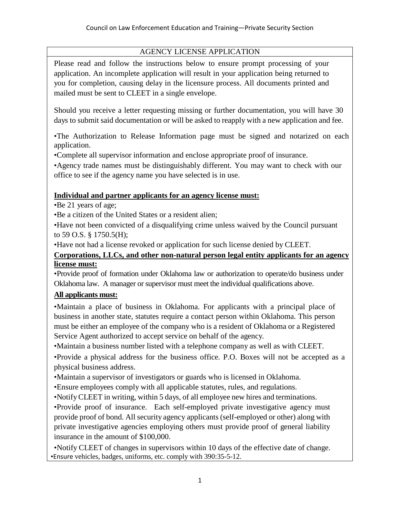# AGENCY LICENSE APPLICATION

Please read and follow the instructions below to ensure prompt processing of your application. An incomplete application will result in your application being returned to you for completion, causing delay in the licensure process. All documents printed and mailed must be sent to CLEET in a single envelope.

Should you receive a letter requesting missing or further documentation, you will have 30 days to submit said documentation or will be asked to reapply with a new application and fee.

•The Authorization to Release Information page must be signed and notarized on each application.

•Complete all supervisor information and enclose appropriate proof of insurance.

•Agency trade names must be distinguishably different. You may want to check with our office to see if the agency name you have selected is in use.

# **Individual and partner applicants for an agency license must:**

•Be 21 years of age;

•Be a citizen of the United States or a resident alien;

•Have not been convicted of a disqualifying crime unless waived by the Council pursuant to 59 O.S. § 1750.5(H);

•Have not had a license revoked or application for such license denied by CLEET.

# **Corporations, LLCs, and other non-natural person legal entity applicants for an agency license must:**

•Provide proof of formation under Oklahoma law or authorization to operate/do business under Oklahoma law. A manager or supervisor must meet the individual qualifications above.

# **All applicants must:**

•Maintain a place of business in Oklahoma. For applicants with a principal place of business in another state, statutes require a contact person within Oklahoma. This person must be either an employee of the company who is a resident of Oklahoma or a Registered Service Agent authorized to accept service on behalf of the agency.

•Maintain a business number listed with a telephone company as well as with CLEET.

•Provide a physical address for the business office. P.O. Boxes will not be accepted as a physical business address.

•Maintain a supervisor of investigators or guards who is licensed in Oklahoma.

•Ensure employees comply with all applicable statutes, rules, and regulations.

•NotifyCLEET in writing, within 5 days, of all employee new hires and terminations.

•Provide proof of insurance. Each self-employed private investigative agency must provide proof of bond. All security agency applicants (self-employed or other) along with private investigative agencies employing others must provide proof of general liability insurance in the amount of \$100,000.

•Notify CLEET of changes in supervisors within 10 days of the effective date of change. •Ensure vehicles, badges, uniforms, etc. comply with 390:35-5-12.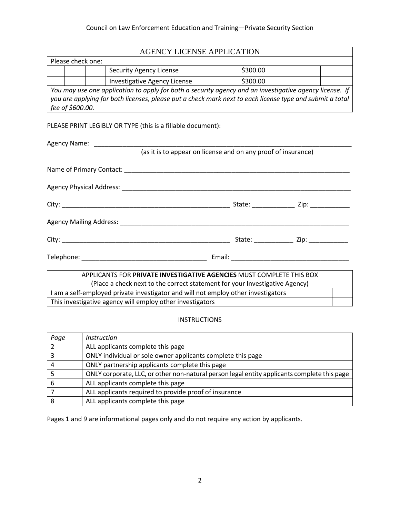| <b>AGENCY LICENSE APPLICATION</b>                                                                        |                                          |  |  |  |  |  |  |  |  |
|----------------------------------------------------------------------------------------------------------|------------------------------------------|--|--|--|--|--|--|--|--|
| Please check one:                                                                                        |                                          |  |  |  |  |  |  |  |  |
| \$300.00<br><b>Security Agency License</b>                                                               |                                          |  |  |  |  |  |  |  |  |
|                                                                                                          | \$300.00<br>Investigative Agency License |  |  |  |  |  |  |  |  |
| You may use one application to apply for both a security agency and an investigative agency license. If  |                                          |  |  |  |  |  |  |  |  |
| you are applying for both licenses, please put a check mark next to each license type and submit a total |                                          |  |  |  |  |  |  |  |  |
|                                                                                                          | fee of \$600.00.                         |  |  |  |  |  |  |  |  |

### PLEASE PRINT LEGIBLY OR TYPE (this is a fillable document):

| (as it is to appear on license and on any proof of insurance)               |  |  |                                             |  |  |  |  |  |
|-----------------------------------------------------------------------------|--|--|---------------------------------------------|--|--|--|--|--|
|                                                                             |  |  |                                             |  |  |  |  |  |
|                                                                             |  |  |                                             |  |  |  |  |  |
|                                                                             |  |  |                                             |  |  |  |  |  |
|                                                                             |  |  |                                             |  |  |  |  |  |
|                                                                             |  |  |                                             |  |  |  |  |  |
|                                                                             |  |  |                                             |  |  |  |  |  |
|                                                                             |  |  |                                             |  |  |  |  |  |
|                                                                             |  |  |                                             |  |  |  |  |  |
|                                                                             |  |  | State: ________________ Zip: ______________ |  |  |  |  |  |
|                                                                             |  |  |                                             |  |  |  |  |  |
|                                                                             |  |  |                                             |  |  |  |  |  |
|                                                                             |  |  |                                             |  |  |  |  |  |
| APPLICANTS FOR <b>PRIVATE INVESTIGATIVE AGENCIES</b> MUST COMPLETE THIS BOX |  |  |                                             |  |  |  |  |  |

# (Place a check next to the correct statement for your Investigative Agency) I am a self-employed private investigator and will not employ other investigators This investigative agency will employ other investigators

# INSTRUCTIONS

| Page | <i>Instruction</i>                                                                          |
|------|---------------------------------------------------------------------------------------------|
|      | ALL applicants complete this page                                                           |
|      | ONLY individual or sole owner applicants complete this page                                 |
|      | ONLY partnership applicants complete this page                                              |
|      | ONLY corporate, LLC, or other non-natural person legal entity applicants complete this page |
| 6    | ALL applicants complete this page                                                           |
|      | ALL applicants required to provide proof of insurance                                       |
| 8    | ALL applicants complete this page                                                           |

Pages 1 and 9 are informational pages only and do not require any action by applicants.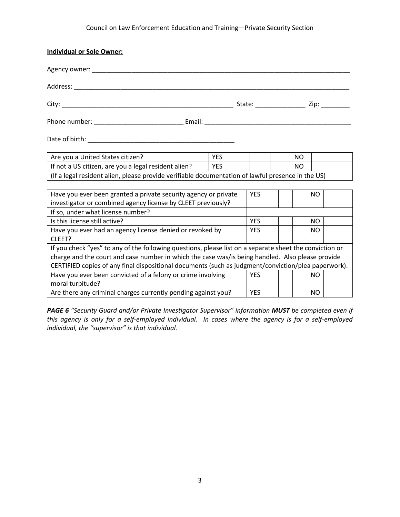| <b>Individual or Sole Owner:</b>                                                                        |            |  |            |  |  |           |           |  |  |
|---------------------------------------------------------------------------------------------------------|------------|--|------------|--|--|-----------|-----------|--|--|
|                                                                                                         |            |  |            |  |  |           |           |  |  |
|                                                                                                         |            |  |            |  |  |           |           |  |  |
|                                                                                                         |            |  |            |  |  |           |           |  |  |
|                                                                                                         |            |  |            |  |  |           |           |  |  |
|                                                                                                         |            |  |            |  |  |           |           |  |  |
| Are you a United States citizen?                                                                        | <b>YES</b> |  |            |  |  | <b>NO</b> |           |  |  |
| If not a US citizen, are you a legal resident alien?                                                    | <b>YES</b> |  |            |  |  | <b>NO</b> |           |  |  |
| (If a legal resident alien, please provide verifiable documentation of lawful presence in the US)       |            |  |            |  |  |           |           |  |  |
|                                                                                                         |            |  |            |  |  |           |           |  |  |
| Have you ever been granted a private security agency or private                                         |            |  | <b>YES</b> |  |  |           | NO.       |  |  |
| investigator or combined agency license by CLEET previously?                                            |            |  |            |  |  |           |           |  |  |
| If so, under what license number?                                                                       |            |  |            |  |  |           |           |  |  |
| Is this license still active?                                                                           |            |  | <b>YES</b> |  |  |           | NO.       |  |  |
| Have you ever had an agency license denied or revoked by                                                |            |  | <b>YES</b> |  |  |           | <b>NO</b> |  |  |
| CLEET?                                                                                                  |            |  |            |  |  |           |           |  |  |
| If you check "yes" to any of the following questions, please list on a separate sheet the conviction or |            |  |            |  |  |           |           |  |  |
| charge and the court and case number in which the case was/is being handled. Also please provide        |            |  |            |  |  |           |           |  |  |
| CERTIFIED copies of any final dispositional documents (such as judgment/conviction/plea paperwork).     |            |  |            |  |  |           |           |  |  |
| Have you ever been convicted of a felony or crime involving                                             |            |  | YES.       |  |  |           | NO.       |  |  |
| moral turpitude?                                                                                        |            |  |            |  |  |           |           |  |  |
| Are there any criminal charges currently pending against you?                                           |            |  | <b>YES</b> |  |  |           | NO        |  |  |

*PAGE 6 "Security Guard and/or Private Investigator Supervisor" information MUST be completed even if this agency is only for a self-employed individual. In cases where the agency is for a self-employed individual, the "supervisor" is that individual.*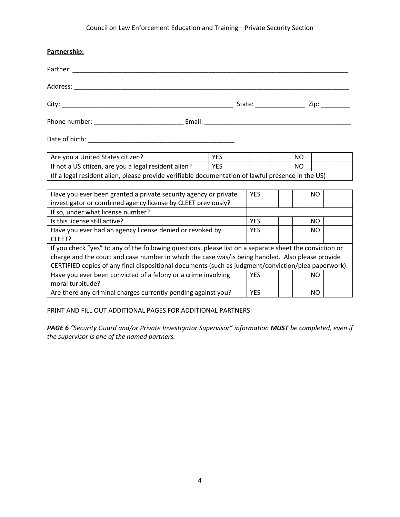| Partnership:                                                                                            |            |  |            |  |  |           |           |  |  |  |  |
|---------------------------------------------------------------------------------------------------------|------------|--|------------|--|--|-----------|-----------|--|--|--|--|
|                                                                                                         |            |  |            |  |  |           |           |  |  |  |  |
| Address: Address: Address: Address: Address: Address: Address: Address: Address: Address: Address: A    |            |  |            |  |  |           |           |  |  |  |  |
|                                                                                                         |            |  |            |  |  |           |           |  |  |  |  |
|                                                                                                         |            |  |            |  |  |           |           |  |  |  |  |
|                                                                                                         |            |  |            |  |  |           |           |  |  |  |  |
| Are you a United States citizen?                                                                        | <b>YES</b> |  |            |  |  | NO.       |           |  |  |  |  |
| If not a US citizen, are you a legal resident alien?                                                    | <b>YES</b> |  |            |  |  | <b>NO</b> |           |  |  |  |  |
| (If a legal resident alien, please provide verifiable documentation of lawful presence in the US)       |            |  |            |  |  |           |           |  |  |  |  |
|                                                                                                         |            |  |            |  |  |           |           |  |  |  |  |
| Have you ever been granted a private security agency or private                                         |            |  | <b>YES</b> |  |  |           | NO.       |  |  |  |  |
| investigator or combined agency license by CLEET previously?                                            |            |  |            |  |  |           |           |  |  |  |  |
| If so, under what license number?                                                                       |            |  |            |  |  |           |           |  |  |  |  |
| Is this license still active?                                                                           |            |  | <b>YES</b> |  |  |           | NO.       |  |  |  |  |
| Have you ever had an agency license denied or revoked by                                                |            |  | <b>YES</b> |  |  |           | NO.       |  |  |  |  |
| CLEET?                                                                                                  |            |  |            |  |  |           |           |  |  |  |  |
| If you check "yes" to any of the following questions, please list on a separate sheet the conviction or |            |  |            |  |  |           |           |  |  |  |  |
| charge and the court and case number in which the case was/is being handled. Also please provide        |            |  |            |  |  |           |           |  |  |  |  |
| CERTIFIED copies of any final dispositional documents (such as judgment/conviction/plea paperwork).     |            |  |            |  |  |           |           |  |  |  |  |
| Have you ever been convicted of a felony or a crime involving                                           |            |  | <b>YES</b> |  |  |           | NO.       |  |  |  |  |
| moral turpitude?                                                                                        |            |  |            |  |  |           |           |  |  |  |  |
| Are there any criminal charges currently pending against you?                                           |            |  | <b>YES</b> |  |  |           | <b>NO</b> |  |  |  |  |

PRINT AND FILL OUT ADDITIONAL PAGES FOR ADDITIONAL PARTNERS

*PAGE 6 "Security Guard and/or Private Investigator Supervisor" information MUST be completed, even if the supervisor is one of the named partners.*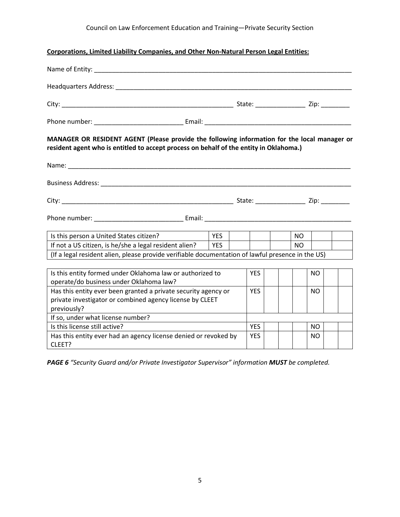# **Corporations, Limited Liability Companies, and Other Non-Natural Person Legal Entities:**

| MANAGER OR RESIDENT AGENT (Please provide the following information for the local manager or<br>resident agent who is entitled to accept process on behalf of the entity in Oklahoma.) |            |  |            |  |           |           |  |  |
|----------------------------------------------------------------------------------------------------------------------------------------------------------------------------------------|------------|--|------------|--|-----------|-----------|--|--|
|                                                                                                                                                                                        |            |  |            |  |           |           |  |  |
|                                                                                                                                                                                        |            |  |            |  |           |           |  |  |
|                                                                                                                                                                                        |            |  |            |  |           |           |  |  |
|                                                                                                                                                                                        |            |  |            |  |           |           |  |  |
| Is this person a United States citizen?                                                                                                                                                | <b>YES</b> |  |            |  | NO.       |           |  |  |
| If not a US citizen, is he/she a legal resident alien?                                                                                                                                 | YES        |  |            |  | <b>NO</b> |           |  |  |
| (If a legal resident alien, please provide verifiable documentation of lawful presence in the US)                                                                                      |            |  |            |  |           |           |  |  |
| Is this entity formed under Oklahoma law or authorized to<br>operate/do business under Oklahoma law?                                                                                   |            |  | <b>YES</b> |  |           | NO.       |  |  |
| Has this entity ever been granted a private security agency or<br>private investigator or combined agency license by CLEET<br>previously?                                              |            |  | <b>YES</b> |  |           | NO.       |  |  |
| If so, under what license number?                                                                                                                                                      |            |  |            |  |           |           |  |  |
| Is this license still active?                                                                                                                                                          |            |  | <b>YES</b> |  |           | NO.       |  |  |
| Has this entity ever had an agency license denied or revoked by<br>CLEET?                                                                                                              |            |  | <b>YES</b> |  |           | <b>NO</b> |  |  |

*PAGE 6 "Security Guard and/or Private Investigator Supervisor" information MUST be completed.*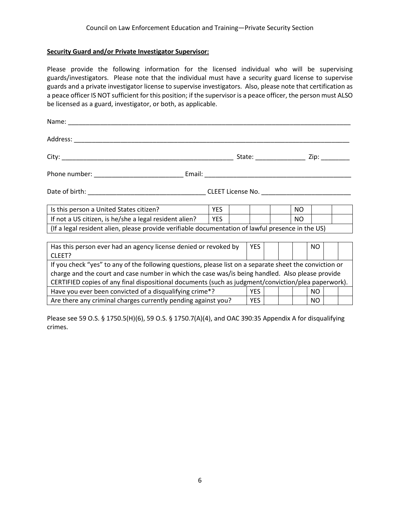### **Security Guard and/or Private Investigator Supervisor:**

Please provide the following information for the licensed individual who will be supervising guards/investigators. Please note that the individual must have a security guard license to supervise guards and a private investigator license to supervise investigators. Also, please note that certification as a peace officer IS NOT sufficient for this position; if the supervisor is a peace officer, the person must ALSO be licensed as a guard, investigator, or both, as applicable.

| Is this person a United States citizen?                                                                 | <b>YES</b> |       |  | NO. |           |  |
|---------------------------------------------------------------------------------------------------------|------------|-------|--|-----|-----------|--|
| If not a US citizen, is he/she a legal resident alien?                                                  | <b>YES</b> |       |  | NO. |           |  |
| (If a legal resident alien, please provide verifiable documentation of lawful presence in the US)       |            |       |  |     |           |  |
|                                                                                                         |            |       |  |     |           |  |
| Has this person ever had an agency license denied or revoked by                                         |            | YES   |  |     | NO.       |  |
| CLEET?                                                                                                  |            |       |  |     |           |  |
| If you check "yes" to any of the following questions, please list on a separate sheet the conviction or |            |       |  |     |           |  |
| charge and the court and case number in which the case was/is being handled. Also please provide        |            |       |  |     |           |  |
| CERTIFIED copies of any final dispositional documents (such as judgment/conviction/plea paperwork).     |            |       |  |     |           |  |
| Have you ever been convicted of a disqualifying crime*?                                                 |            | YES I |  |     | NO.       |  |
| Are there any criminal charges currently pending against you?                                           |            | YES   |  |     | <b>NO</b> |  |

Please see 59 O.S. § 1750.5(H)(6), 59 O.S. § 1750.7(A)(4), and OAC 390:35 Appendix A for disqualifying crimes.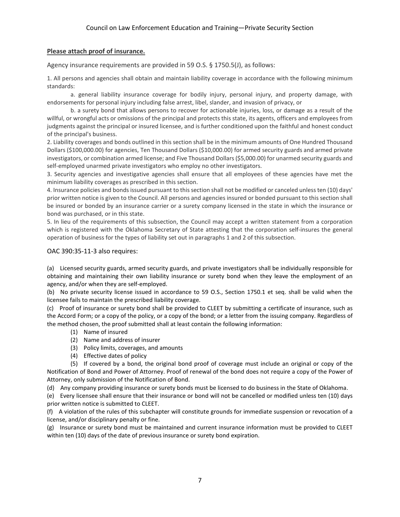## **Please attach proof of insurance.**

Agency insurance requirements are provided in 59 O.S. § 1750.5(J), as follows:

1. All persons and agencies shall obtain and maintain liability coverage in accordance with the following minimum standards:

a. general liability insurance coverage for bodily injury, personal injury, and property damage, with endorsements for personal injury including false arrest, libel, slander, and invasion of privacy, or

b. a surety bond that allows persons to recover for actionable injuries, loss, or damage as a result of the willful, or wrongful acts or omissions of the principal and protects this state, its agents, officers and employees from judgments against the principal or insured licensee, and is further conditioned upon the faithful and honest conduct of the principal's business.

2. Liability coverages and bonds outlined in this section shall be in the minimum amounts of One Hundred Thousand Dollars (\$100,000.00) for agencies, Ten Thousand Dollars (\$10,000.00) for armed security guards and armed private investigators, or combination armed license; and Five Thousand Dollars (\$5,000.00) for unarmed security guards and self-employed unarmed private investigators who employ no other investigators.

3. Security agencies and investigative agencies shall ensure that all employees of these agencies have met the minimum liability coverages as prescribed in this section.

4. Insurance policies and bonds issued pursuant to this section shall not be modified or canceled unless ten (10) days' prior written notice is given to the Council. All persons and agencies insured or bonded pursuant to this section shall be insured or bonded by an insurance carrier or a surety company licensed in the state in which the insurance or bond was purchased, or in this state.

5. In lieu of the requirements of this subsection, the Council may accept a written statement from a corporation which is registered with the Oklahoma Secretary of State attesting that the corporation self-insures the general operation of business for the types of liability set out in paragraphs 1 and 2 of this subsection.

#### OAC 390:35-11-3 also requires:

(a) Licensed security guards, armed security guards, and private investigators shall be individually responsible for obtaining and maintaining their own liability insurance or surety bond when they leave the employment of an agency, and/or when they are self-employed.

(b) No private security license issued in accordance to 59 O.S., Section 1750.1 et seq. shall be valid when the licensee fails to maintain the prescribed liability coverage.

(c) Proof of insurance or surety bond shall be provided to CLEET by submitting a certificate of insurance, such as the Accord Form; or a copy of the policy, or a copy of the bond; or a letter from the issuing company. Regardless of the method chosen, the proof submitted shall at least contain the following information:

- (1) Name of insured
- (2) Name and address of insurer
- (3) Policy limits, coverages, and amounts
- (4) Effective dates of policy

(5) If covered by a bond, the original bond proof of coverage must include an original or copy of the Notification of Bond and Power of Attorney. Proof of renewal of the bond does not require a copy of the Power of Attorney, only submission of the Notification of Bond.

(d) Any company providing insurance or surety bonds must be licensed to do business in the State of Oklahoma.

(e) Every licensee shall ensure that their insurance or bond will not be cancelled or modified unless ten (10) days prior written notice is submitted to CLEET.

(f) A violation of the rules of this subchapter will constitute grounds for immediate suspension or revocation of a license, and/or disciplinary penalty or fine.

(g) Insurance or surety bond must be maintained and current insurance information must be provided to CLEET within ten (10) days of the date of previous insurance or surety bond expiration.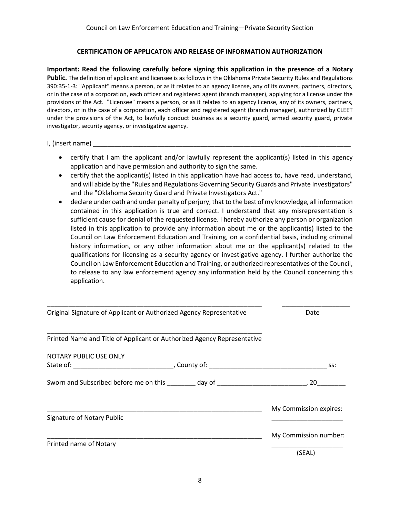## **CERTIFICATION OF APPLICATON AND RELEASE OF INFORMATION AUTHORIZATION**

**Important: Read the following carefully before signing this application in the presence of a Notary Public.** The definition of applicant and licensee is as follows in the Oklahoma Private Security Rules and Regulations 390:35-1-3: "Applicant" means a person, or as it relates to an agency license, any of its owners, partners, directors, or in the case of a corporation, each officer and registered agent (branch manager), applying for a license under the provisions of the Act. "Licensee" means a person, or as it relates to an agency license, any of its owners, partners, directors, or in the case of a corporation, each officer and registered agent (branch manager), authorized by CLEET under the provisions of the Act, to lawfully conduct business as a security guard, armed security guard, private investigator, security agency, or investigative agency.

 $I,$  (insert name)  $\Box$ 

- certify that I am the applicant and/or lawfully represent the applicant(s) listed in this agency application and have permission and authority to sign the same.
- certify that the applicant(s) listed in this application have had access to, have read, understand, and will abide by the "Rules and Regulations Governing Security Guards and Private Investigators" and the "Oklahoma Security Guard and Private Investigators Act."
- declare under oath and under penalty of perjury, that to the best of my knowledge, all information contained in this application is true and correct. I understand that any misrepresentation is sufficient cause for denial of the requested license. I hereby authorize any person or organization listed in this application to provide any information about me or the applicant(s) listed to the Council on Law Enforcement Education and Training, on a confidential basis, including criminal history information, or any other information about me or the applicant(s) related to the qualifications for licensing as a security agency or investigative agency. I further authorize the Council on Law Enforcement Education and Training, or authorized representatives of the Council, to release to any law enforcement agency any information held by the Council concerning this application.

| Original Signature of Applicant or Authorized Agency Representative              | Date                   |
|----------------------------------------------------------------------------------|------------------------|
| Printed Name and Title of Applicant or Authorized Agency Representative          |                        |
| NOTARY PUBLIC USE ONLY                                                           |                        |
|                                                                                  | SS:                    |
| Sworn and Subscribed before me on this _________ day of ________________________ | . 20 _____             |
|                                                                                  | My Commission expires: |
| Signature of Notary Public                                                       |                        |
|                                                                                  | My Commission number:  |
| Printed name of Notary                                                           | (SEAL)                 |